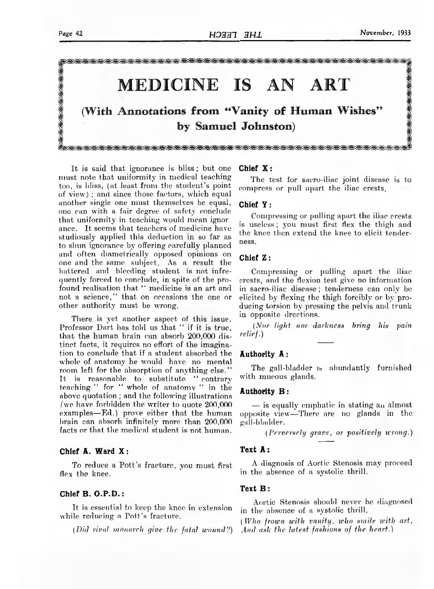

It is said that ignorance is bliss; but one must note that uniformity in medical teaching too, is bliss, (at least from the student's point of view) ; and since those factors, which equal another single one must themselves be equal, one can with a fair degree of safety conclude that uniformity in teaching would mean ignor ance. It seems that teachers of medicine have studiously applied this deduction in so far as to shun ignorance by offering carefully planned and often diametrically opposed opinions on one and the same subject. As a result the battered and bleeding student is not infrequently forced to conclude, in spite of the profound realisation that " medicine is an art and not a science," that on occasions the one or other authority must be wrong.

There is yet another aspect of this issue. Professor Dart has told us that " if it is true, that the human brain can absorb 200,000 distinct facts, it requires no effort of the imagination to conclude that if a student absorbed the whole of anatomy he would have no mental room left for the absorption of anything else." It is reasonable to substitute " contrary teaching " for " whole of anatomy " in the above quotation ; and the following illustrations (we have forbidden the writer to quote 200,000 examples—Ed.) prove either that the human brain can absorb infinitely more than 200,000 facts or that the medical student is not human.

# Chief A. Ward X :

To reduce a Pott's fracture, you must first flex the knee.

### Chief  $B. O.P.D.$ :

It is essential to keep the knee in extension while reducing a Pott's fracture.

*(Did rival monarch give the fatal wound?)*

### Chief X :

The test for sacro-iliac joint disease is to compress or pull apart the iliac crests.

#### Chief Y :

Compressing or pulling apart the iliac crests is useless; you must first flex the thigh and the knee then extend the knee to elicit tenderness.

# Chief Z :

Compressing or pulling apart the iliac crests, and the flexion test give no information in sacro-iliac disease; tenderness can only be elicited by flexing the thigh forcibly or by producing torsion by pressing the pelvis and trunk in opposite drections.

*(Nor light nor darkness bring his pain relief.)*

### Authority A :

The gall-bladder is abundantly furnished with mucous glands.

#### Authority B :

— is equally emphatic in stating an almost opposite view—There are no glands in the gall-bladder.

*(Perversely grave, or positively wrong.)*

## Text A :

A diagnosis of Aortic Stenosis may proceed in the absence of a systolic thrill.

#### Text B :

Aortic Stenosis should never be diagnosed in the absence of a systolic thrill.

*(Who frown with vanity, who smile with art*, *And ask the latest fashions of the heart.)*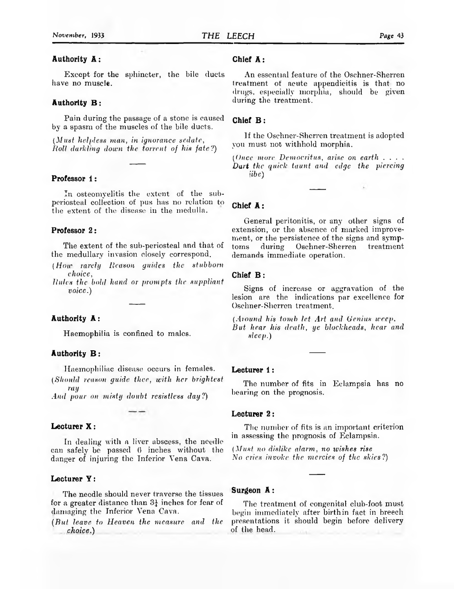# Authority A :

Except for the sphincter, the bile ducts have no muscle.

#### Authority B :

Pain during the passage of a stone is caused by a spasm of the muscles of the bile ducts.

*(Must helpless man, in ignorance sedate, Roll darkling down the torrent of his fate?)*

## Professor 1:

In osteomyelitis the extent of the subperiosteal collection of pus has no relation to the extent of the disease in the medulla.

#### Professor 2:

The extent of the sub-periosteal and that of the medullary invasion closely correspond.

- *(How rarely Reason guides the stubborn choice,*
- *Rules the bold hand or prompts the suppliant voice.)*

## Authority A :

Haemophilia is confined to males.

## Authority B :

Haemophiliac disease occurs in females. *(Should reason guide thee, with her brightest*

*ray And pour on misty doubt resistless day?)*

#### Lecturer X :

In dealing with a liver abscess, the needle can safely be passed 6 inches without the danger of injuring the Inferior Vena Cava.

## Lecturer Y :

The needle should never traverse the tissues for a greater distance than  $3\frac{1}{4}$  inches for fear of damaging the Inferior Vena Cava.

*(But leave to Heaven the measure and the choice.)*

# Chief A :

An essential feature of the Oschner-Sherren treatment of acute appendicitis is that no drugs, especially morphia, should be given during the treatment.

## Chief B :

If the Oschner-Sherren treatment is adopted you must not withhold morphia.

*(Once more Democritus, arise on earth* . . . . *Dart the quick taunt and edge the piercing jibe)*

#### Chief A :

General peritonitis, or any other signs of extension, or the absence of marked improvement, or the persistence of the signs and symptoms during Oschner-Sherren treatment demands immediate operation.

## Chief B :

Signs of increase or aggravation of the lesion are the indications par excellence for Oschner-Sherren treatment.

*(Around his tomb let Art and Genius weep. But hear his death, ye blockheads, hear and sleep.)*

#### Lecturer 1:

The number of fits in Eclampsia has no bearing on the prognosis.

#### Lecturer 2:

The number of fits is an important criterion in assessing the prognosis of Eclampsia.

*(Must no dislike alarm, no wishes rise No cries invoke the mercies of the skies?)*

#### Surgeon A :

The treatment of congenital club-foot must begin immediately after birthin fact in breech presentations it should begin before delivery of the head.